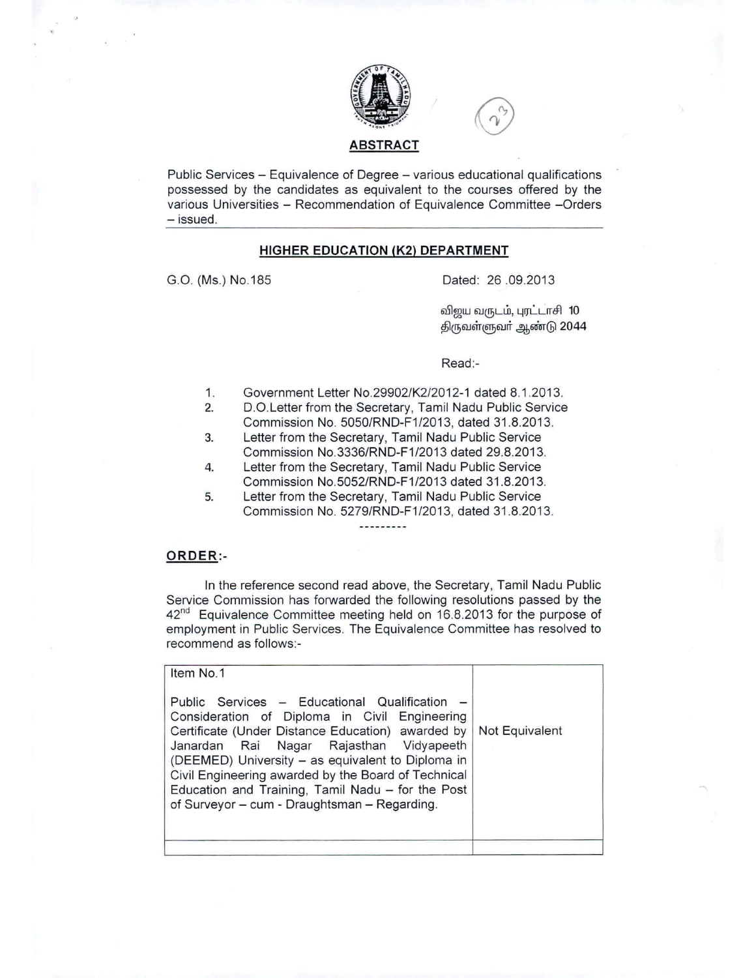



### **ABSTRACT**

Public Services - Equivalence of Degree - various educational qualifications possessed by the candidates as equivalent to the courses offered by the various Universities - Recommendation of Equivalence Committee -Orders  $-$  issued.

## **HIGHER EDUCATION (K2) DEPARTMENT**

G.O. (Ms.) NO.185 Dated: 26 .09.2013

விஜய வருடம், புரட்டாசி 10 திருவள்ளுவா் ஆண்டு 2044

#### Read:-

- 1. Government Letter NO.29902/K2/2012-1 dated 8.1.2013.
- 2. D.O.Letter from the Secretary, Tamil Nadu Public Service Commission No. 5050/RND-F1/2013, dated 31.8.2013.
- 3. Letter from the Secretary, Tamil Nadu Public Service Commission NO.3336/RND-F1/2013 dated 29.8.2013.
- 4. Letter from the Secretary, Tamil Nadu Public Service Commission NO.5052/RND-F1/2013 dated 31.8.2013.
- 5. Letter from the Secretary, Tamil Nadu Public Service Commission No. 5279/RND-F1/2013, dated 31.8.2013.

#### **ORDER:-**

In the reference second read above, the Secretary, Tamil Nadu Public Service Commission has forwarded the following resolutions passed by the  $42<sup>nd</sup>$  Equivalence Committee meeting held on 16.8.2013 for the purpose of employment in Public Services. The Equivalence Committee has resolved to recommend as follows:-

| Item No.1                                                                                                                                                                                                                                                                                                                                                                                                       |                |
|-----------------------------------------------------------------------------------------------------------------------------------------------------------------------------------------------------------------------------------------------------------------------------------------------------------------------------------------------------------------------------------------------------------------|----------------|
| Public Services - Educational Qualification -<br>Consideration of Diploma in Civil Engineering<br>Certificate (Under Distance Education) awarded by<br>Janardan Rai Nagar Rajasthan Vidyapeeth<br>(DEEMED) University - as equivalent to Diploma in<br>Civil Engineering awarded by the Board of Technical<br>Education and Training, Tamil Nadu - for the Post<br>of Surveyor - cum - Draughtsman - Regarding. | Not Equivalent |
|                                                                                                                                                                                                                                                                                                                                                                                                                 |                |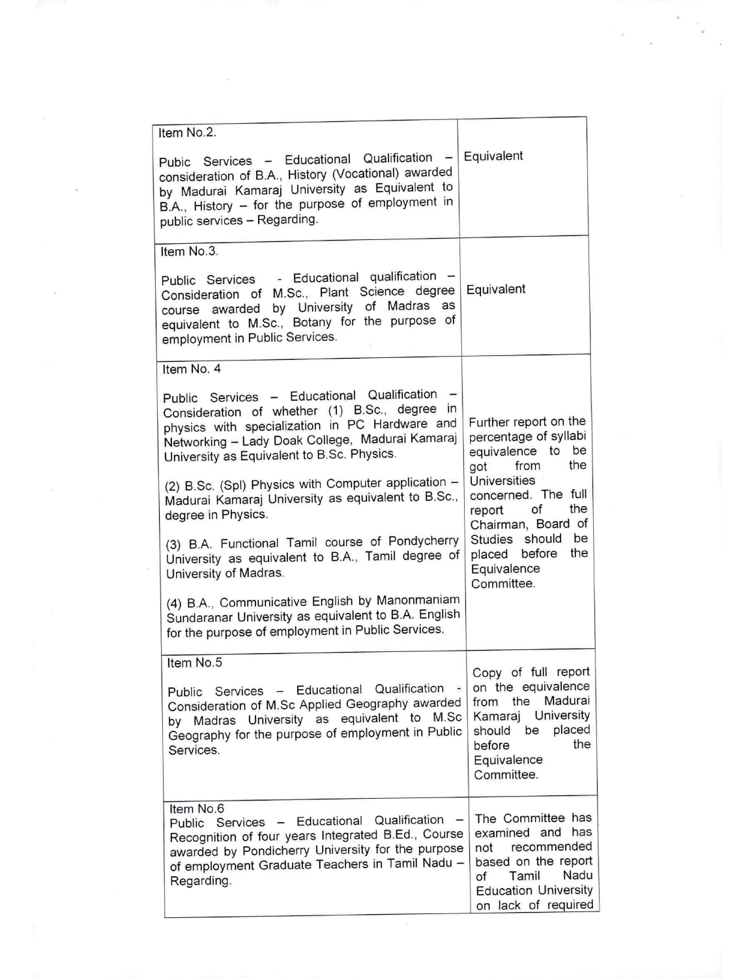| Item No.2.<br>Pubic Services - Educational Qualification -<br>consideration of B.A., History (Vocational) awarded<br>by Madurai Kamaraj University as Equivalent to<br>B.A., History - for the purpose of employment in                                     | Equivalent                                                                                                                                                      |
|-------------------------------------------------------------------------------------------------------------------------------------------------------------------------------------------------------------------------------------------------------------|-----------------------------------------------------------------------------------------------------------------------------------------------------------------|
| public services - Regarding.                                                                                                                                                                                                                                |                                                                                                                                                                 |
| Item No.3.                                                                                                                                                                                                                                                  |                                                                                                                                                                 |
| Public Services - Educational qualification<br>Consideration of M.Sc., Plant Science degree<br>of Madras as<br>course awarded by University<br>equivalent to M.Sc., Botany for the purpose of<br>employment in Public Services.                             | Equivalent                                                                                                                                                      |
| Item No. 4                                                                                                                                                                                                                                                  |                                                                                                                                                                 |
| Public Services - Educational Qualification<br>Consideration of whether (1) B.Sc., degree in<br>physics with specialization in PC Hardware and<br>Networking - Lady Doak College, Madurai Kamaraj<br>University as Equivalent to B.Sc. Physics.             | Further report on the<br>percentage of syllabi<br>equivalence to be<br>got from<br>the                                                                          |
| (2) B.Sc. (Spl) Physics with Computer application -<br>Madurai Kamaraj University as equivalent to B.Sc.,<br>degree in Physics.                                                                                                                             | Universities<br>concerned. The full<br>the<br>report of<br>Chairman, Board of<br>Studies should<br>be<br>the<br>placed before<br>Equivalence<br>Committee.      |
| (3) B.A. Functional Tamil course of Pondycherry<br>University as equivalent to B.A., Tamil degree of<br>University of Madras.                                                                                                                               |                                                                                                                                                                 |
| (4) B.A., Communicative English by Manonmaniam<br>Sundaranar University as equivalent to B.A. English<br>for the purpose of employment in Public Services.                                                                                                  |                                                                                                                                                                 |
| Item No.5<br>Public Services - Educational Qualification<br>$\qquad \qquad \blacksquare$<br>Consideration of M.Sc Applied Geography awarded<br>by Madras University as equivalent to M.Sc<br>Geography for the purpose of employment in Public<br>Services. | Copy of full report<br>on the equivalence<br>Madurai<br>from the<br>University<br>Kamaraj<br>placed<br>should be<br>the<br>before<br>Equivalence<br>Committee.  |
| Item No.6<br>Qualification<br>Services - Educational<br>$\sim$<br>Public<br>Recognition of four years Integrated B.Ed., Course<br>awarded by Pondicherry University for the purpose<br>of employment Graduate Teachers in Tamil Nadu -<br>Regarding.        | The Committee has<br>examined and has<br>recommended<br>not<br>based on the report<br>Nadu<br>Tamil<br>of<br><b>Education University</b><br>on lack of required |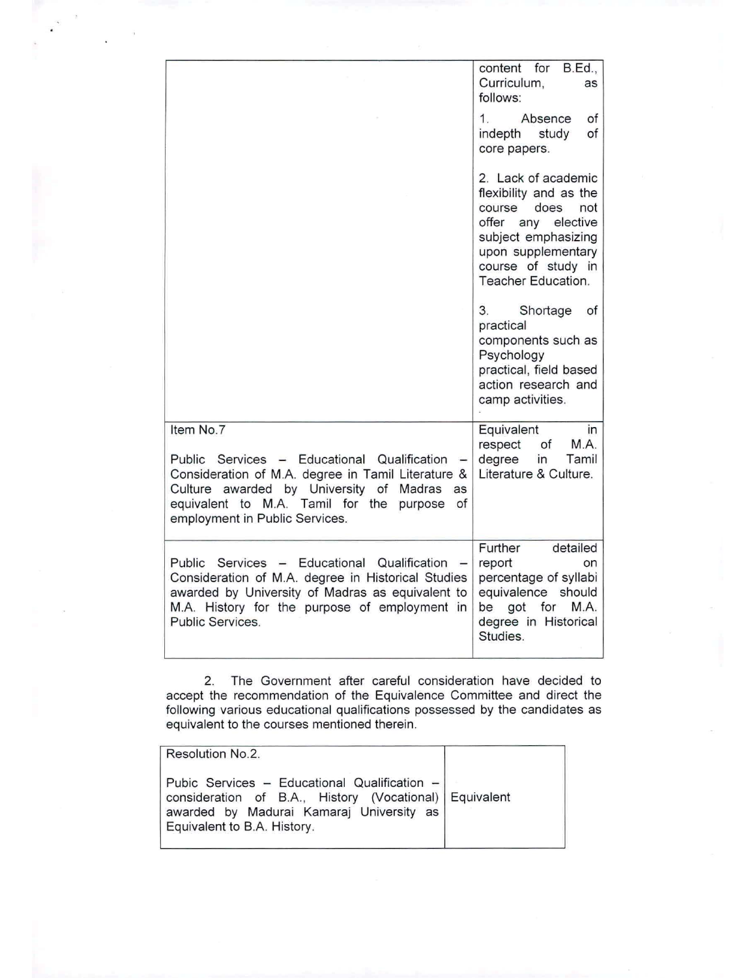|                                                                                                                                                                                                                                                                                 | content for B.Ed.,<br>Curriculum,<br>as<br>follows:                                                                                                                                   |
|---------------------------------------------------------------------------------------------------------------------------------------------------------------------------------------------------------------------------------------------------------------------------------|---------------------------------------------------------------------------------------------------------------------------------------------------------------------------------------|
|                                                                                                                                                                                                                                                                                 | 1.<br>Absence<br>оf<br>of<br>indepth<br>study<br>core papers.                                                                                                                         |
|                                                                                                                                                                                                                                                                                 | 2. Lack of academic<br>flexibility and as the<br>course<br>does<br>not<br>offer any elective<br>subject emphasizing<br>upon supplementary<br>course of study in<br>Teacher Education. |
|                                                                                                                                                                                                                                                                                 | 3.<br>Shortage<br>оf<br>practical<br>components such as<br>Psychology<br>practical, field based<br>action research and<br>camp activities.                                            |
| Item No.7<br>Public Services - Educational Qualification<br>$\overline{\phantom{a}}$<br>Consideration of M.A. degree in Tamil Literature &<br>Culture awarded by University of Madras<br>as<br>equivalent to M.A. Tamil for the purpose<br>of<br>employment in Public Services. | Equivalent<br>in<br>M.A.<br>respect<br>of<br>degree<br>in<br>Tamil<br>Literature & Culture.                                                                                           |
| Public Services - Educational Qualification<br>Consideration of M.A. degree in Historical Studies<br>awarded by University of Madras as equivalent to<br>M.A. History for the purpose of employment in<br>Public Services.                                                      | Further<br>detailed<br>report<br>on<br>percentage of syllabi<br>equivalence should<br>be got for<br>M.A.<br>degree in Historical<br>Studies.                                          |

2. The Government after careful consideration have decided to accept the recommendation of the Equivalence Committee and direct the following various educational qualifications possessed by the candidates as equivalent to the courses mentioned therein.

| Resolution No.2.                                                                                                                                                                  |  |
|-----------------------------------------------------------------------------------------------------------------------------------------------------------------------------------|--|
| Pubic Services - Educational Qualification -<br>consideration of B.A., History (Vocational) Equivalent<br>awarded by Madurai Kamaraj University as<br>Equivalent to B.A. History. |  |